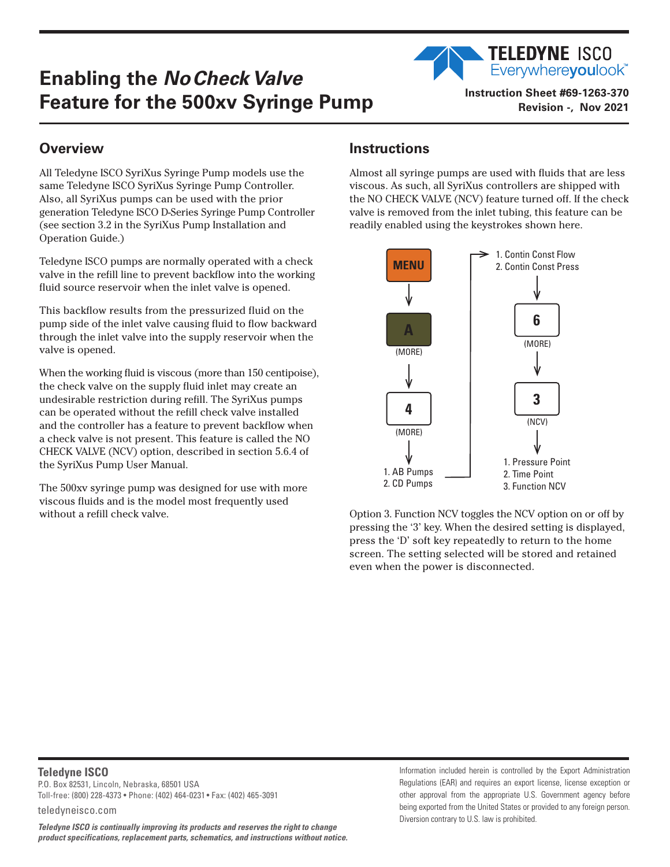## **Enabling the** *No Check Valve*  **Feature for the 500xv Syringe Pump** Instruction Sheet #69-1263-370

Everywhereyoulook<sup>"</sup> **Revision -, Nov 2021**

**TELEDYNE ISCO** 

## **Overview**

All Teledyne ISCO SyriXus Syringe Pump models use the same Teledyne ISCO SyriXus Syringe Pump Controller. Also, all SyriXus pumps can be used with the prior generation Teledyne ISCO D-Series Syringe Pump Controller (see section 3.2 in the SyriXus Pump Installation and Operation Guide.)

Teledyne ISCO pumps are normally operated with a check valve in the refill line to prevent backflow into the working fluid source reservoir when the inlet valve is opened.

This backflow results from the pressurized fluid on the pump side of the inlet valve causing fluid to flow backward through the inlet valve into the supply reservoir when the valve is opened.

When the working fluid is viscous (more than 150 centipoise), the check valve on the supply fluid inlet may create an undesirable restriction during refill. The SyriXus pumps can be operated without the refill check valve installed and the controller has a feature to prevent backflow when a check valve is not present. This feature is called the NO CHECK VALVE (NCV) option, described in section 5.6.4 of the SyriXus Pump User Manual.

The 500xv syringe pump was designed for use with more viscous fluids and is the model most frequently used without a refill check valve.

## **Instructions**

Almost all syringe pumps are used with fluids that are less viscous. As such, all SyriXus controllers are shipped with the NO CHECK VALVE (NCV) feature turned off. If the check valve is removed from the inlet tubing, this feature can be readily enabled using the keystrokes shown here.



Option 3. Function NCV toggles the NCV option on or off by pressing the '3' key. When the desired setting is displayed, press the 'D' soft key repeatedly to return to the home screen. The setting selected will be stored and retained even when the power is disconnected.

## **Teledyne ISCO**

P.O. Box 82531, Lincoln, Nebraska, 68501 USA Toll-free: (800) 228-4373 • Phone: (402) 464-0231 • Fax: (402) 465-3091

teledyneisco.com

*Teledyne ISCO is continually improving its products and reserves the right to change product specifications, replacement parts, schematics, and instructions without notice.* Information included herein is controlled by the Export Administration Regulations (EAR) and requires an export license, license exception or other approval from the appropriate U.S. Government agency before being exported from the United States or provided to any foreign person. Diversion contrary to U.S. law is prohibited.